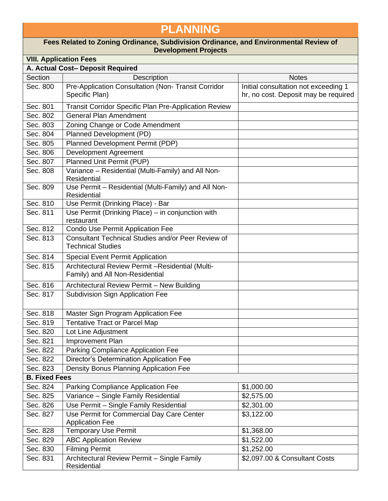## **PLANNING**

## **Fees Related to Zoning Ordinance, Subdivision Ordinance, and Environmental Review of Development Projects**

| <b>VIII. Application Fees</b> |                                                                                      |                                                                              |  |  |
|-------------------------------|--------------------------------------------------------------------------------------|------------------------------------------------------------------------------|--|--|
|                               | A. Actual Cost- Deposit Required                                                     |                                                                              |  |  |
| Section                       | <b>Description</b>                                                                   | <b>Notes</b>                                                                 |  |  |
| Sec. 800                      | Pre-Application Consultation (Non- Transit Corridor<br>Specific Plan)                | Initial consultation not exceeding 1<br>hr, no cost. Deposit may be required |  |  |
| Sec. 801                      | Transit Corridor Specific Plan Pre-Application Review                                |                                                                              |  |  |
| Sec. 802                      | <b>General Plan Amendment</b>                                                        |                                                                              |  |  |
| Sec. 803                      | Zoning Change or Code Amendment                                                      |                                                                              |  |  |
| Sec. 804                      | Planned Development (PD)                                                             |                                                                              |  |  |
| Sec. 805                      | Planned Development Permit (PDP)                                                     |                                                                              |  |  |
| Sec. 806                      | Development Agreement                                                                |                                                                              |  |  |
| Sec. 807                      | Planned Unit Permit (PUP)                                                            |                                                                              |  |  |
| Sec. 808                      | Variance - Residential (Multi-Family) and All Non-<br>Residential                    |                                                                              |  |  |
| Sec. 809                      | Use Permit - Residential (Multi-Family) and All Non-<br>Residential                  |                                                                              |  |  |
| Sec. 810                      | Use Permit (Drinking Place) - Bar                                                    |                                                                              |  |  |
| Sec. 811                      | Use Permit (Drinking Place) - in conjunction with<br>restaurant                      |                                                                              |  |  |
| Sec. 812                      | Condo Use Permit Application Fee                                                     |                                                                              |  |  |
| Sec. 813                      | Consultant Technical Studies and/or Peer Review of<br><b>Technical Studies</b>       |                                                                              |  |  |
| Sec. 814                      | <b>Special Event Permit Application</b>                                              |                                                                              |  |  |
| Sec. 815                      | Architectural Review Permit - Residential (Multi-<br>Family) and All Non-Residential |                                                                              |  |  |
| Sec. 816                      | Architectural Review Permit - New Building                                           |                                                                              |  |  |
| Sec. 817                      | <b>Subdivision Sign Application Fee</b>                                              |                                                                              |  |  |
| Sec. 818                      | Master Sign Program Application Fee                                                  |                                                                              |  |  |
| Sec. 819                      | <b>Tentative Tract or Parcel Map</b>                                                 |                                                                              |  |  |
| Sec. 820                      | Lot Line Adjustment                                                                  |                                                                              |  |  |
| Sec. 821                      | Improvement Plan                                                                     |                                                                              |  |  |
| Sec. 822                      | Parking Compliance Application Fee                                                   |                                                                              |  |  |
| Sec. 822                      | <b>Director's Determination Application Fee</b>                                      |                                                                              |  |  |
| Sec. 823                      | Density Bonus Planning Application Fee                                               |                                                                              |  |  |
| <b>B. Fixed Fees</b>          |                                                                                      |                                                                              |  |  |
| Sec. 824                      | Parking Compliance Application Fee                                                   | \$1,000.00                                                                   |  |  |
| Sec. 825                      | Variance - Single Family Residential                                                 | \$2,575.00                                                                   |  |  |
| Sec. 826                      | Use Permit - Single Family Residential                                               | \$2,301.00                                                                   |  |  |
| Sec. 827                      | Use Permit for Commercial Day Care Center<br><b>Application Fee</b>                  | \$3,122.00                                                                   |  |  |
| Sec. 828                      | <b>Temporary Use Permit</b>                                                          | \$1,368.00                                                                   |  |  |
| Sec. 829                      | <b>ABC Application Review</b>                                                        | \$1,522.00                                                                   |  |  |
| Sec. 830                      | <b>Filming Permit</b>                                                                | \$1,252.00                                                                   |  |  |
| Sec. 831                      | Architectural Review Permit - Single Family<br>Residential                           | \$2,097.00 & Consultant Costs                                                |  |  |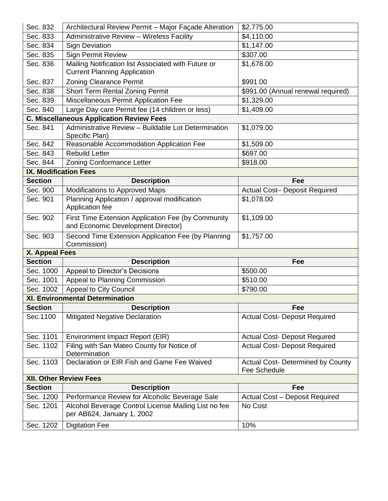| Sec. 832                      | Architectural Review Permit - Major Façade Alteration                                            | \$2,775.00                           |  |  |  |
|-------------------------------|--------------------------------------------------------------------------------------------------|--------------------------------------|--|--|--|
| Sec. 833                      | Administrative Review - Wireless Facility                                                        | \$4,110.00                           |  |  |  |
| Sec. 834                      | <b>Sign Deviation</b>                                                                            | \$1,147.00                           |  |  |  |
| Sec. 835                      | <b>Sign Permit Review</b>                                                                        | \$307.00                             |  |  |  |
| Sec. 836                      | Mailing Notification list Associated with Future or<br><b>Current Planning Application</b>       | \$1,678.00                           |  |  |  |
| Sec. 837                      | <b>Zoning Clearance Permit</b>                                                                   | \$991.00                             |  |  |  |
| Sec. 838                      | <b>Short Term Rental Zoning Permit</b>                                                           | \$991.00 (Annual renewal required)   |  |  |  |
| Sec. 839                      | Miscellaneous Permit Application Fee                                                             | \$1,329.00                           |  |  |  |
| Sec. 840                      | Large Day care Permit fee (14 children or less)                                                  | \$1,409.00                           |  |  |  |
|                               | <b>C. Miscellaneous Application Review Fees</b>                                                  |                                      |  |  |  |
| Sec. 841                      | Administrative Review - Buildable Lot Determination<br>Specific Plan)                            | \$1,079.00                           |  |  |  |
| Sec. 842                      | Reasonable Accommodation Application Fee                                                         | \$1,509.00                           |  |  |  |
| Sec. 843                      | <b>Rebuild Letter</b>                                                                            | \$697.00                             |  |  |  |
| Sec. 844                      | Zoning Conformance Letter                                                                        | \$918.00                             |  |  |  |
| <b>IX. Modification Fees</b>  |                                                                                                  |                                      |  |  |  |
| <b>Section</b>                | <b>Description</b>                                                                               | Fee                                  |  |  |  |
| Sec. 900                      | Modifications to Approved Maps                                                                   | Actual Cost- Deposit Required        |  |  |  |
| Sec. 901                      | Planning Application / approval modification<br>Application fee                                  | \$1,078.00                           |  |  |  |
| Sec. 902                      | First Time Extension Application Fee (by Community<br>and Economic Development Director)         | \$1,109.00                           |  |  |  |
| Sec. 903                      | Second Time Extension Application Fee (by Planning<br>Commission)                                | \$1,757.00                           |  |  |  |
| <b>X. Appeal Fees</b>         |                                                                                                  |                                      |  |  |  |
| <b>Section</b>                | <b>Description</b>                                                                               | Fee                                  |  |  |  |
| Sec. 1000                     | Appeal to Director's Decisions                                                                   | \$500.00                             |  |  |  |
| Sec. 1001                     | Appeal to Planning Commission                                                                    | \$510.00                             |  |  |  |
| Sec. 1002                     | Appeal to City Council                                                                           | \$790.00                             |  |  |  |
|                               | <b>XI. Environmental Determination</b>                                                           |                                      |  |  |  |
| <b>Section</b>                | <b>Description</b>                                                                               | Fee                                  |  |  |  |
| Sec.1100                      | <b>Mitigated Negative Declaration</b>                                                            | <b>Actual Cost- Deposit Required</b> |  |  |  |
| Sec. 1101                     | Environment Impact Report (EIR)                                                                  | <b>Actual Cost- Deposit Required</b> |  |  |  |
| Sec. 1102                     | Filing with San Mateo County for Notice of<br>Determination                                      | <b>Actual Cost- Deposit Required</b> |  |  |  |
| Sec. 1103                     | Declaration or EIR Fish and Game Fee Waived<br>Actual Cost- Determined by County<br>Fee Schedule |                                      |  |  |  |
| <b>XII. Other Review Fees</b> |                                                                                                  |                                      |  |  |  |
| <b>Section</b>                | <b>Description</b>                                                                               | Fee                                  |  |  |  |
| Sec. 1200                     | Performance Review for Alcoholic Beverage Sale                                                   | Actual Cost - Deposit Required       |  |  |  |
| Sec. 1201                     | Alcohol Beverage Control License Mailing List no fee<br>per AB624, January 1, 2002               | No Cost                              |  |  |  |
| Sec. 1202                     | <b>Digitation Fee</b>                                                                            | 10%                                  |  |  |  |